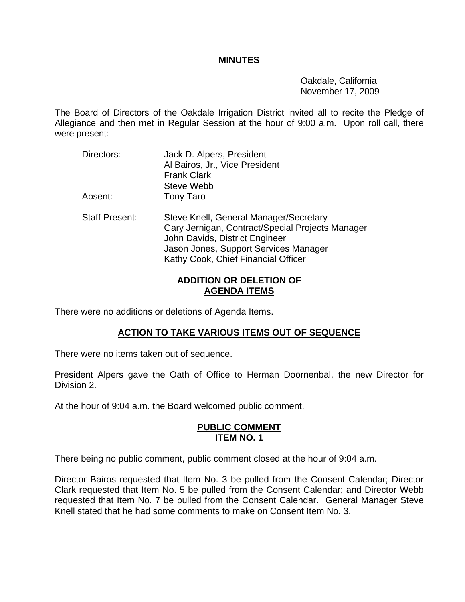#### **MINUTES**

 Oakdale, California November 17, 2009

The Board of Directors of the Oakdale Irrigation District invited all to recite the Pledge of Allegiance and then met in Regular Session at the hour of 9:00 a.m. Upon roll call, there were present:

Directors: Jack D. Alpers, President Al Bairos, Jr., Vice President Frank Clark Steve Webb Absent: Tony Taro Staff Present: Steve Knell, General Manager/Secretary Gary Jernigan, Contract/Special Projects Manager John Davids, District Engineer Jason Jones, Support Services Manager Kathy Cook, Chief Financial Officer

### **ADDITION OR DELETION OF AGENDA ITEMS**

There were no additions or deletions of Agenda Items.

## **ACTION TO TAKE VARIOUS ITEMS OUT OF SEQUENCE**

There were no items taken out of sequence.

President Alpers gave the Oath of Office to Herman Doornenbal, the new Director for Division 2.

At the hour of 9:04 a.m. the Board welcomed public comment.

#### **PUBLIC COMMENT ITEM NO. 1**

There being no public comment, public comment closed at the hour of 9:04 a.m.

Director Bairos requested that Item No. 3 be pulled from the Consent Calendar; Director Clark requested that Item No. 5 be pulled from the Consent Calendar; and Director Webb requested that Item No. 7 be pulled from the Consent Calendar. General Manager Steve Knell stated that he had some comments to make on Consent Item No. 3.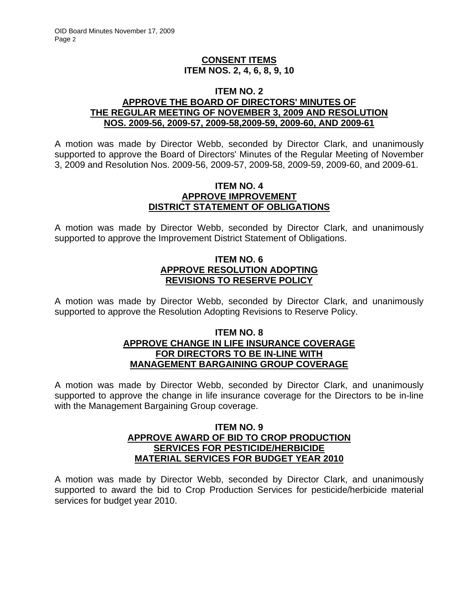## **CONSENT ITEMS ITEM NOS. 2, 4, 6, 8, 9, 10**

#### **ITEM NO. 2 APPROVE THE BOARD OF DIRECTORS' MINUTES OF THE REGULAR MEETING OF NOVEMBER 3, 2009 AND RESOLUTION NOS. 2009-56, 2009-57, 2009-58,2009-59, 2009-60, AND 2009-61**

A motion was made by Director Webb, seconded by Director Clark, and unanimously supported to approve the Board of Directors' Minutes of the Regular Meeting of November 3, 2009 and Resolution Nos. 2009-56, 2009-57, 2009-58, 2009-59, 2009-60, and 2009-61.

#### **ITEM NO. 4 APPROVE IMPROVEMENT DISTRICT STATEMENT OF OBLIGATIONS**

A motion was made by Director Webb, seconded by Director Clark, and unanimously supported to approve the Improvement District Statement of Obligations.

## **ITEM NO. 6 APPROVE RESOLUTION ADOPTING REVISIONS TO RESERVE POLICY**

A motion was made by Director Webb, seconded by Director Clark, and unanimously supported to approve the Resolution Adopting Revisions to Reserve Policy.

#### **ITEM NO. 8 APPROVE CHANGE IN LIFE INSURANCE COVERAGE FOR DIRECTORS TO BE IN-LINE WITH MANAGEMENT BARGAINING GROUP COVERAGE**

A motion was made by Director Webb, seconded by Director Clark, and unanimously supported to approve the change in life insurance coverage for the Directors to be in-line with the Management Bargaining Group coverage.

#### **ITEM NO. 9 APPROVE AWARD OF BID TO CROP PRODUCTION SERVICES FOR PESTICIDE/HERBICIDE MATERIAL SERVICES FOR BUDGET YEAR 2010**

A motion was made by Director Webb, seconded by Director Clark, and unanimously supported to award the bid to Crop Production Services for pesticide/herbicide material services for budget year 2010.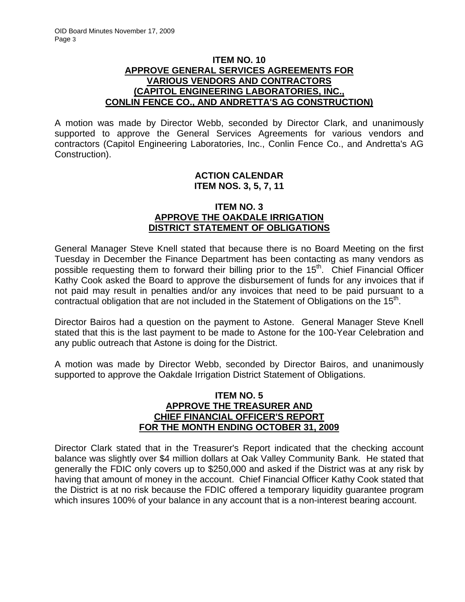### **ITEM NO. 10 APPROVE GENERAL SERVICES AGREEMENTS FOR VARIOUS VENDORS AND CONTRACTORS (CAPITOL ENGINEERING LABORATORIES, INC., CONLIN FENCE CO., AND ANDRETTA'S AG CONSTRUCTION)**

A motion was made by Director Webb, seconded by Director Clark, and unanimously supported to approve the General Services Agreements for various vendors and contractors (Capitol Engineering Laboratories, Inc., Conlin Fence Co., and Andretta's AG Construction).

## **ACTION CALENDAR ITEM NOS. 3, 5, 7, 11**

## **ITEM NO. 3 APPROVE THE OAKDALE IRRIGATION DISTRICT STATEMENT OF OBLIGATIONS**

General Manager Steve Knell stated that because there is no Board Meeting on the first Tuesday in December the Finance Department has been contacting as many vendors as possible requesting them to forward their billing prior to the  $15<sup>th</sup>$ . Chief Financial Officer Kathy Cook asked the Board to approve the disbursement of funds for any invoices that if not paid may result in penalties and/or any invoices that need to be paid pursuant to a contractual obligation that are not included in the Statement of Obligations on the  $15<sup>th</sup>$ .

Director Bairos had a question on the payment to Astone. General Manager Steve Knell stated that this is the last payment to be made to Astone for the 100-Year Celebration and any public outreach that Astone is doing for the District.

A motion was made by Director Webb, seconded by Director Bairos, and unanimously supported to approve the Oakdale Irrigation District Statement of Obligations.

#### **ITEM NO. 5 APPROVE THE TREASURER AND CHIEF FINANCIAL OFFICER'S REPORT FOR THE MONTH ENDING OCTOBER 31, 2009**

Director Clark stated that in the Treasurer's Report indicated that the checking account balance was slightly over \$4 million dollars at Oak Valley Community Bank. He stated that generally the FDIC only covers up to \$250,000 and asked if the District was at any risk by having that amount of money in the account. Chief Financial Officer Kathy Cook stated that the District is at no risk because the FDIC offered a temporary liquidity guarantee program which insures 100% of your balance in any account that is a non-interest bearing account.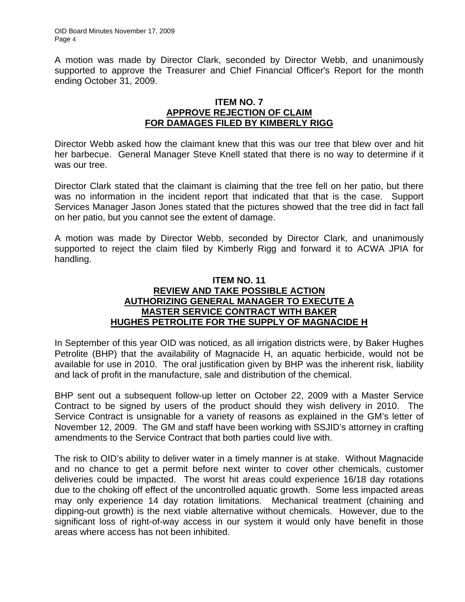A motion was made by Director Clark, seconded by Director Webb, and unanimously supported to approve the Treasurer and Chief Financial Officer's Report for the month ending October 31, 2009.

#### **ITEM NO. 7 APPROVE REJECTION OF CLAIM FOR DAMAGES FILED BY KIMBERLY RIGG**

Director Webb asked how the claimant knew that this was our tree that blew over and hit her barbecue. General Manager Steve Knell stated that there is no way to determine if it was our tree.

Director Clark stated that the claimant is claiming that the tree fell on her patio, but there was no information in the incident report that indicated that that is the case. Support Services Manager Jason Jones stated that the pictures showed that the tree did in fact fall on her patio, but you cannot see the extent of damage.

A motion was made by Director Webb, seconded by Director Clark, and unanimously supported to reject the claim filed by Kimberly Rigg and forward it to ACWA JPIA for handling.

## **ITEM NO. 11 REVIEW AND TAKE POSSIBLE ACTION AUTHORIZING GENERAL MANAGER TO EXECUTE A MASTER SERVICE CONTRACT WITH BAKER HUGHES PETROLITE FOR THE SUPPLY OF MAGNACIDE H**

In September of this year OID was noticed, as all irrigation districts were, by Baker Hughes Petrolite (BHP) that the availability of Magnacide H, an aquatic herbicide, would not be available for use in 2010. The oral justification given by BHP was the inherent risk, liability and lack of profit in the manufacture, sale and distribution of the chemical.

BHP sent out a subsequent follow-up letter on October 22, 2009 with a Master Service Contract to be signed by users of the product should they wish delivery in 2010. The Service Contract is unsignable for a variety of reasons as explained in the GM's letter of November 12, 2009. The GM and staff have been working with SSJID's attorney in crafting amendments to the Service Contract that both parties could live with.

The risk to OID's ability to deliver water in a timely manner is at stake. Without Magnacide and no chance to get a permit before next winter to cover other chemicals, customer deliveries could be impacted. The worst hit areas could experience 16/18 day rotations due to the choking off effect of the uncontrolled aquatic growth. Some less impacted areas may only experience 14 day rotation limitations. Mechanical treatment (chaining and dipping-out growth) is the next viable alternative without chemicals. However, due to the significant loss of right-of-way access in our system it would only have benefit in those areas where access has not been inhibited.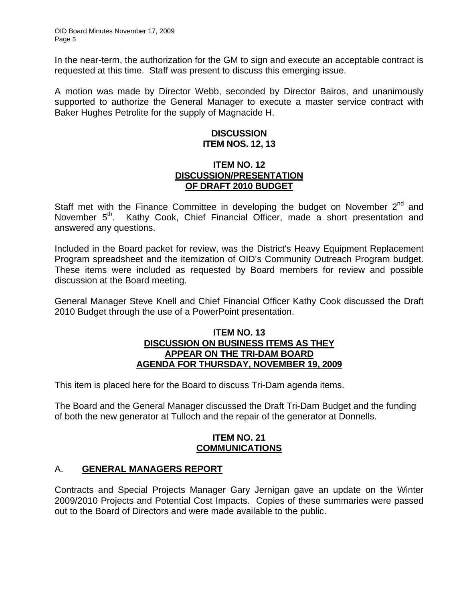In the near-term, the authorization for the GM to sign and execute an acceptable contract is requested at this time. Staff was present to discuss this emerging issue.

A motion was made by Director Webb, seconded by Director Bairos, and unanimously supported to authorize the General Manager to execute a master service contract with Baker Hughes Petrolite for the supply of Magnacide H.

## **DISCUSSION ITEM NOS. 12, 13**

## **ITEM NO. 12 DISCUSSION/PRESENTATION OF DRAFT 2010 BUDGET**

Staff met with the Finance Committee in developing the budget on November  $2^{nd}$  and November 5<sup>th</sup>. Kathy Cook, Chief Financial Officer, made a short presentation and answered any questions.

Included in the Board packet for review, was the District's Heavy Equipment Replacement Program spreadsheet and the itemization of OID's Community Outreach Program budget. These items were included as requested by Board members for review and possible discussion at the Board meeting.

General Manager Steve Knell and Chief Financial Officer Kathy Cook discussed the Draft 2010 Budget through the use of a PowerPoint presentation.

#### **ITEM NO. 13 DISCUSSION ON BUSINESS ITEMS AS THEY APPEAR ON THE TRI-DAM BOARD AGENDA FOR THURSDAY, NOVEMBER 19, 2009**

This item is placed here for the Board to discuss Tri-Dam agenda items.

The Board and the General Manager discussed the Draft Tri-Dam Budget and the funding of both the new generator at Tulloch and the repair of the generator at Donnells.

## **ITEM NO. 21 COMMUNICATIONS**

## A. **GENERAL MANAGERS REPORT**

Contracts and Special Projects Manager Gary Jernigan gave an update on the Winter 2009/2010 Projects and Potential Cost Impacts. Copies of these summaries were passed out to the Board of Directors and were made available to the public.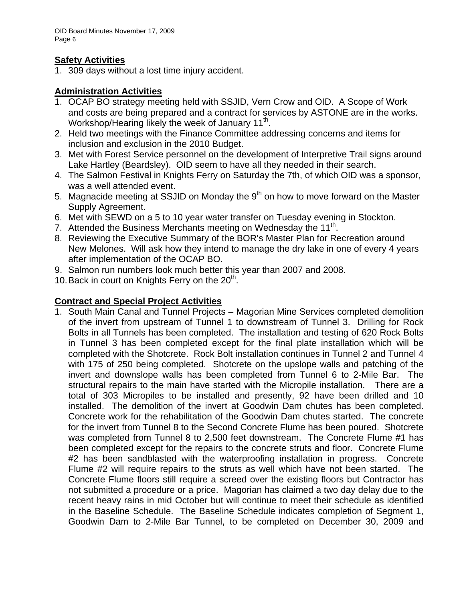## **Safety Activities**

1. 309 days without a lost time injury accident.

# **Administration Activities**

- 1. OCAP BO strategy meeting held with SSJID, Vern Crow and OID. A Scope of Work and costs are being prepared and a contract for services by ASTONE are in the works. Workshop/Hearing likely the week of January 11 $<sup>th</sup>$ .</sup>
- 2. Held two meetings with the Finance Committee addressing concerns and items for inclusion and exclusion in the 2010 Budget.
- 3. Met with Forest Service personnel on the development of Interpretive Trail signs around Lake Hartley (Beardsley). OID seem to have all they needed in their search.
- 4. The Salmon Festival in Knights Ferry on Saturday the 7th, of which OID was a sponsor, was a well attended event.
- 5. Magnacide meeting at SSJID on Monday the  $9<sup>th</sup>$  on how to move forward on the Master Supply Agreement.
- 6. Met with SEWD on a 5 to 10 year water transfer on Tuesday evening in Stockton.
- 7. Attended the Business Merchants meeting on Wednesday the  $11<sup>th</sup>$ .
- 8. Reviewing the Executive Summary of the BOR's Master Plan for Recreation around New Melones. Will ask how they intend to manage the dry lake in one of every 4 years after implementation of the OCAP BO.
- 9. Salmon run numbers look much better this year than 2007 and 2008.
- 10. Back in court on Knights Ferry on the  $20<sup>th</sup>$ .

# **Contract and Special Project Activities**

1. South Main Canal and Tunnel Projects – Magorian Mine Services completed demolition of the invert from upstream of Tunnel 1 to downstream of Tunnel 3. Drilling for Rock Bolts in all Tunnels has been completed. The installation and testing of 620 Rock Bolts in Tunnel 3 has been completed except for the final plate installation which will be completed with the Shotcrete. Rock Bolt installation continues in Tunnel 2 and Tunnel 4 with 175 of 250 being completed. Shotcrete on the upslope walls and patching of the invert and downslope walls has been completed from Tunnel 6 to 2-Mile Bar. The structural repairs to the main have started with the Micropile installation. There are a total of 303 Micropiles to be installed and presently, 92 have been drilled and 10 installed. The demolition of the invert at Goodwin Dam chutes has been completed. Concrete work for the rehabilitation of the Goodwin Dam chutes started. The concrete for the invert from Tunnel 8 to the Second Concrete Flume has been poured. Shotcrete was completed from Tunnel 8 to 2,500 feet downstream. The Concrete Flume #1 has been completed except for the repairs to the concrete struts and floor. Concrete Flume #2 has been sandblasted with the waterproofing installation in progress. Concrete Flume #2 will require repairs to the struts as well which have not been started. The Concrete Flume floors still require a screed over the existing floors but Contractor has not submitted a procedure or a price. Magorian has claimed a two day delay due to the recent heavy rains in mid October but will continue to meet their schedule as identified in the Baseline Schedule. The Baseline Schedule indicates completion of Segment 1, Goodwin Dam to 2-Mile Bar Tunnel, to be completed on December 30, 2009 and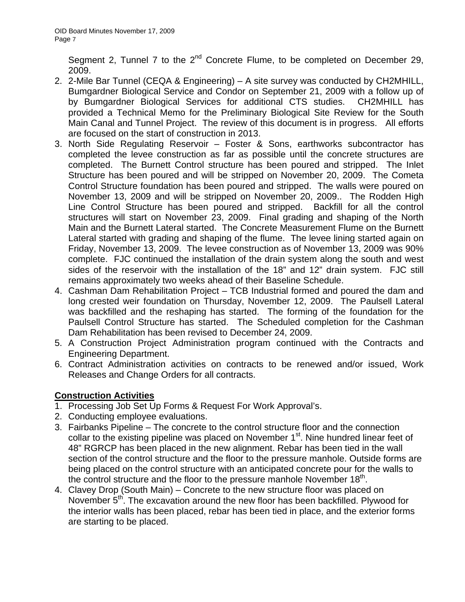Segment 2, Tunnel 7 to the 2<sup>nd</sup> Concrete Flume, to be completed on December 29, 2009.

- 2. 2-Mile Bar Tunnel (CEQA & Engineering) A site survey was conducted by CH2MHILL, Bumgardner Biological Service and Condor on September 21, 2009 with a follow up of by Bumgardner Biological Services for additional CTS studies. CH2MHILL has provided a Technical Memo for the Preliminary Biological Site Review for the South Main Canal and Tunnel Project. The review of this document is in progress. All efforts are focused on the start of construction in 2013.
- 3. North Side Regulating Reservoir Foster & Sons, earthworks subcontractor has completed the levee construction as far as possible until the concrete structures are completed. The Burnett Control structure has been poured and stripped. The Inlet Structure has been poured and will be stripped on November 20, 2009. The Cometa Control Structure foundation has been poured and stripped. The walls were poured on November 13, 2009 and will be stripped on November 20, 2009.. The Rodden High Line Control Structure has been poured and stripped. Backfill for all the control structures will start on November 23, 2009. Final grading and shaping of the North Main and the Burnett Lateral started. The Concrete Measurement Flume on the Burnett Lateral started with grading and shaping of the flume. The levee lining started again on Friday, November 13, 2009. The levee construction as of November 13, 2009 was 90% complete. FJC continued the installation of the drain system along the south and west sides of the reservoir with the installation of the 18" and 12" drain system. FJC still remains approximately two weeks ahead of their Baseline Schedule.
- 4. Cashman Dam Rehabilitation Project TCB Industrial formed and poured the dam and long crested weir foundation on Thursday, November 12, 2009. The Paulsell Lateral was backfilled and the reshaping has started. The forming of the foundation for the Paulsell Control Structure has started. The Scheduled completion for the Cashman Dam Rehabilitation has been revised to December 24, 2009.
- 5. A Construction Project Administration program continued with the Contracts and Engineering Department.
- 6. Contract Administration activities on contracts to be renewed and/or issued, Work Releases and Change Orders for all contracts.

## **Construction Activities**

- 1. Processing Job Set Up Forms & Request For Work Approval's.
- 2. Conducting employee evaluations.
- 3. Fairbanks Pipeline The concrete to the control structure floor and the connection collar to the existing pipeline was placed on November  $1<sup>st</sup>$ . Nine hundred linear feet of 48" RGRCP has been placed in the new alignment. Rebar has been tied in the wall section of the control structure and the floor to the pressure manhole. Outside forms are being placed on the control structure with an anticipated concrete pour for the walls to the control structure and the floor to the pressure manhole November  $18<sup>th</sup>$ .
- 4. Clavey Drop (South Main) Concrete to the new structure floor was placed on November 5<sup>th</sup>. The excavation around the new floor has been backfilled. Plywood for the interior walls has been placed, rebar has been tied in place, and the exterior forms are starting to be placed.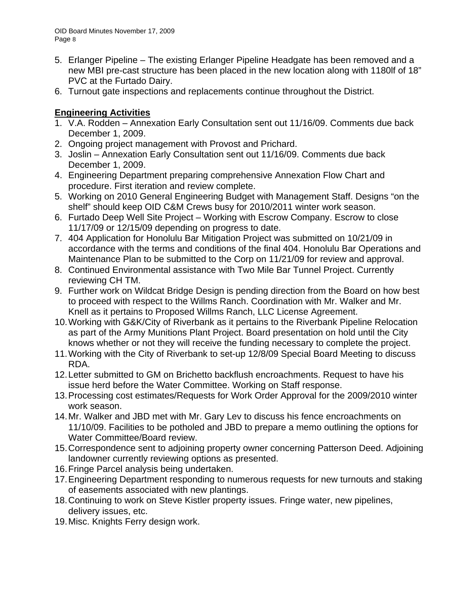- 5. Erlanger Pipeline The existing Erlanger Pipeline Headgate has been removed and a new MBI pre-cast structure has been placed in the new location along with 1180lf of 18" PVC at the Furtado Dairy.
- 6. Turnout gate inspections and replacements continue throughout the District.

# **Engineering Activities**

- 1. V.A. Rodden Annexation Early Consultation sent out 11/16/09. Comments due back December 1, 2009.
- 2. Ongoing project management with Provost and Prichard.
- 3. Joslin Annexation Early Consultation sent out 11/16/09. Comments due back December 1, 2009.
- 4. Engineering Department preparing comprehensive Annexation Flow Chart and procedure. First iteration and review complete.
- 5. Working on 2010 General Engineering Budget with Management Staff. Designs "on the shelf" should keep OID C&M Crews busy for 2010/2011 winter work season.
- 6. Furtado Deep Well Site Project Working with Escrow Company. Escrow to close 11/17/09 or 12/15/09 depending on progress to date.
- 7. 404 Application for Honolulu Bar Mitigation Project was submitted on 10/21/09 in accordance with the terms and conditions of the final 404. Honolulu Bar Operations and Maintenance Plan to be submitted to the Corp on 11/21/09 for review and approval.
- 8. Continued Environmental assistance with Two Mile Bar Tunnel Project. Currently reviewing CH TM.
- 9. Further work on Wildcat Bridge Design is pending direction from the Board on how best to proceed with respect to the Willms Ranch. Coordination with Mr. Walker and Mr. Knell as it pertains to Proposed Willms Ranch, LLC License Agreement.
- 10. Working with G&K/City of Riverbank as it pertains to the Riverbank Pipeline Relocation as part of the Army Munitions Plant Project. Board presentation on hold until the City knows whether or not they will receive the funding necessary to complete the project.
- 11. Working with the City of Riverbank to set-up 12/8/09 Special Board Meeting to discuss RDA.
- 12. Letter submitted to GM on Brichetto backflush encroachments. Request to have his issue herd before the Water Committee. Working on Staff response.
- 13. Processing cost estimates/Requests for Work Order Approval for the 2009/2010 winter work season.
- 14. Mr. Walker and JBD met with Mr. Gary Lev to discuss his fence encroachments on 11/10/09. Facilities to be potholed and JBD to prepare a memo outlining the options for Water Committee/Board review.
- 15. Correspondence sent to adjoining property owner concerning Patterson Deed. Adjoining landowner currently reviewing options as presented.
- 16. Fringe Parcel analysis being undertaken.
- 17. Engineering Department responding to numerous requests for new turnouts and staking of easements associated with new plantings.
- 18. Continuing to work on Steve Kistler property issues. Fringe water, new pipelines, delivery issues, etc.
- 19. Misc. Knights Ferry design work.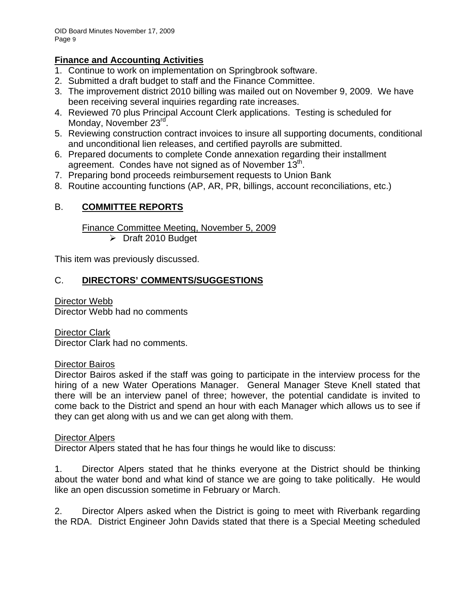## **Finance and Accounting Activities**

- 1. Continue to work on implementation on Springbrook software.
- 2. Submitted a draft budget to staff and the Finance Committee.
- 3. The improvement district 2010 billing was mailed out on November 9, 2009. We have been receiving several inquiries regarding rate increases.
- 4. Reviewed 70 plus Principal Account Clerk applications. Testing is scheduled for Monday, November 23<sup>rd</sup>.
- 5. Reviewing construction contract invoices to insure all supporting documents, conditional and unconditional lien releases, and certified payrolls are submitted.
- 6. Prepared documents to complete Conde annexation regarding their installment agreement. Condes have not signed as of November  $13<sup>th</sup>$ .
- 7. Preparing bond proceeds reimbursement requests to Union Bank
- 8. Routine accounting functions (AP, AR, PR, billings, account reconciliations, etc.)

# B. **COMMITTEE REPORTS**

Finance Committee Meeting, November 5, 2009

¾ Draft 2010 Budget

This item was previously discussed.

# C. **DIRECTORS' COMMENTS/SUGGESTIONS**

Director Webb Director Webb had no comments

Director Clark Director Clark had no comments.

## Director Bairos

Director Bairos asked if the staff was going to participate in the interview process for the hiring of a new Water Operations Manager. General Manager Steve Knell stated that there will be an interview panel of three; however, the potential candidate is invited to come back to the District and spend an hour with each Manager which allows us to see if they can get along with us and we can get along with them.

## Director Alpers

Director Alpers stated that he has four things he would like to discuss:

1. Director Alpers stated that he thinks everyone at the District should be thinking about the water bond and what kind of stance we are going to take politically. He would like an open discussion sometime in February or March.

2. Director Alpers asked when the District is going to meet with Riverbank regarding the RDA. District Engineer John Davids stated that there is a Special Meeting scheduled